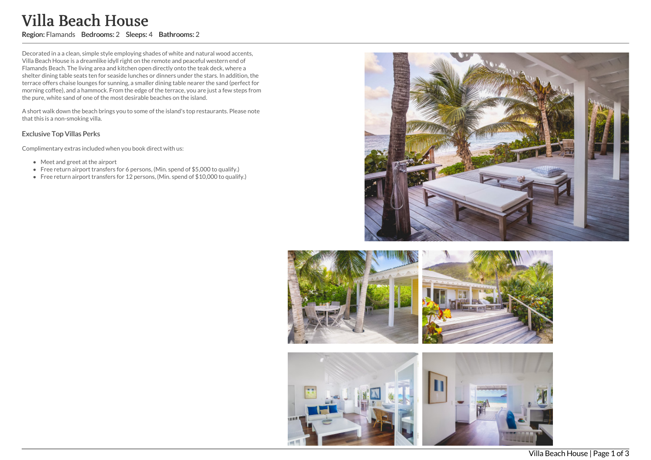## Villa Beach House

## Region: Flamands Bedrooms: 2 Sleeps: 4 Bathrooms: 2

Decorated in a a clean, simple style employing shades of white and natural wood accents, Villa Beach House is a dreamlike idyll right on the remote and peaceful western end of Flamands Beach. The living area and kitchen open directly onto the teak deck, where a shelter dining table seats ten for seaside lunches or dinners under the stars. In addition, the terrace offers chaise lounges for sunning, a smaller dining table nearer the sand (perfect for morning coffee), and a hammock. From the edge of the terrace, you are just a few steps from the pure, white sand of one of the most desirable beaches on the island.

A short walk down the beach brings you to some of the island's top restaurants. Please note that this is a non-smoking villa.

## Exclusive Top Villas Perks

Complimentary extras included when you book direct with us:

- Meet and greet at the airport
- Free return airport transfers for 6 persons, (Min. spend of \$5,000 to qualify.)
- Free return airport transfers for 12 persons, (Min. spend of \$10,000 to qualify.)



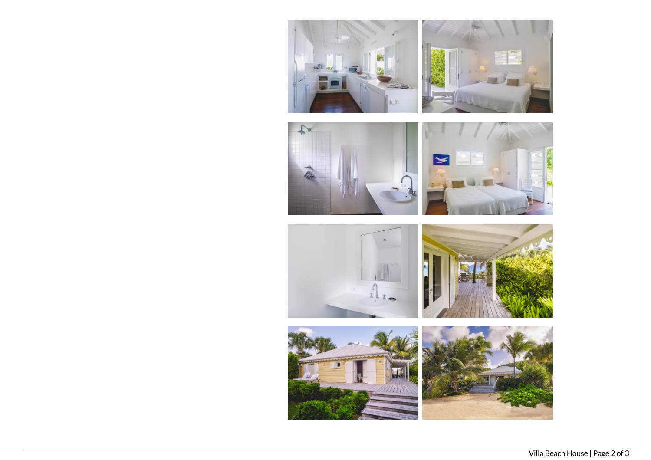